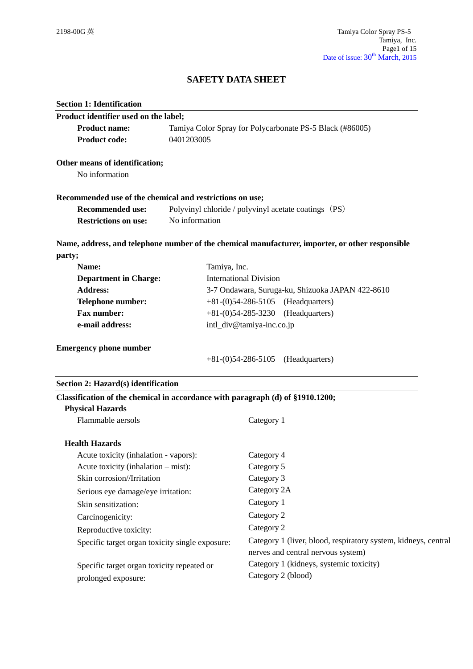# **SAFETY DATA SHEET**

| <b>Section 1: Identification</b>                                               |                |                                                                                                      |  |
|--------------------------------------------------------------------------------|----------------|------------------------------------------------------------------------------------------------------|--|
| Product identifier used on the label;                                          |                |                                                                                                      |  |
| <b>Product name:</b>                                                           |                | Tamiya Color Spray for Polycarbonate PS-5 Black (#86005)                                             |  |
| <b>Product code:</b>                                                           | 0401203005     |                                                                                                      |  |
| Other means of identification;                                                 |                |                                                                                                      |  |
| No information                                                                 |                |                                                                                                      |  |
| Recommended use of the chemical and restrictions on use;                       |                |                                                                                                      |  |
| <b>Recommended use:</b>                                                        |                | Polyvinyl chloride / polyvinyl acetate coatings (PS)                                                 |  |
| <b>Restrictions on use:</b>                                                    | No information |                                                                                                      |  |
|                                                                                |                | Name, address, and telephone number of the chemical manufacturer, importer, or other responsible     |  |
| party;                                                                         |                |                                                                                                      |  |
| Name:                                                                          | Tamiya, Inc.   |                                                                                                      |  |
| <b>Department in Charge:</b>                                                   |                | <b>International Division</b>                                                                        |  |
| <b>Address:</b>                                                                |                | 3-7 Ondawara, Suruga-ku, Shizuoka JAPAN 422-8610                                                     |  |
| Telephone number:<br>$+81-(0)54-286-5105$ (Headquarters)                       |                |                                                                                                      |  |
| <b>Fax number:</b><br>e-mail address:                                          |                | $+81-(0)54-285-3230$<br>(Headquarters)<br>intl_div@tamiya-inc.co.jp                                  |  |
|                                                                                |                |                                                                                                      |  |
|                                                                                |                | $+81-(0)54-286-5105$ (Headquarters)                                                                  |  |
| Section 2: Hazard(s) identification                                            |                |                                                                                                      |  |
| Classification of the chemical in accordance with paragraph (d) of §1910.1200; |                |                                                                                                      |  |
| <b>Physical Hazards</b>                                                        |                |                                                                                                      |  |
| Flammable aersols                                                              |                | Category 1                                                                                           |  |
| <b>Health Hazards</b>                                                          |                |                                                                                                      |  |
| Acute toxicity (inhalation - vapors):                                          |                | Category 4                                                                                           |  |
| Acute toxicity (inhalation – mist):                                            |                | Category 5                                                                                           |  |
| Skin corrosion//Irritation                                                     |                | Category 3                                                                                           |  |
| Serious eye damage/eye irritation:                                             |                | Category 2A                                                                                          |  |
| Skin sensitization:                                                            |                | Category 1                                                                                           |  |
| Carcinogenicity:                                                               |                | Category 2                                                                                           |  |
| Reproductive toxicity:                                                         |                | Category 2                                                                                           |  |
| Specific target organ toxicity single exposure:                                |                | Category 1 (liver, blood, respiratory system, kidneys, central<br>nerves and central nervous system) |  |
| Specific target organ toxicity repeated or                                     |                | Category 1 (kidneys, systemic toxicity)                                                              |  |
| prolonged exposure:                                                            |                | Category 2 (blood)                                                                                   |  |
|                                                                                |                |                                                                                                      |  |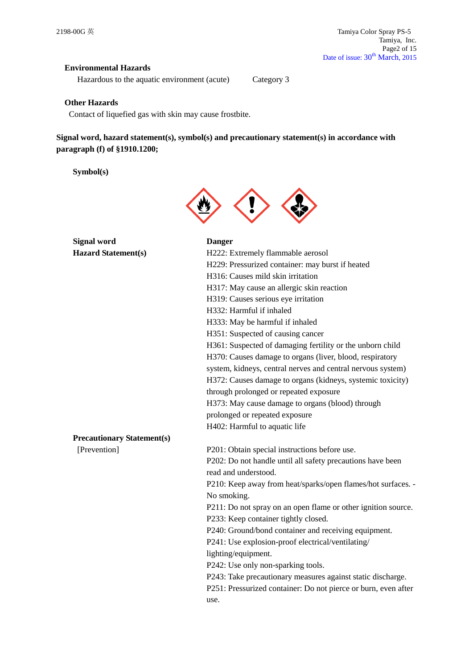## **Environmental Hazards**

Hazardous to the aquatic environment (acute) Category 3

#### **Other Hazards**

Contact of liquefied gas with skin may cause frostbite.

**Signal word, hazard statement(s), symbol(s) and precautionary statement(s) in accordance with paragraph (f) of §1910.1200;**

**Symbol(s)**



| <b>Signal word</b>                | <b>Danger</b>                                                  |
|-----------------------------------|----------------------------------------------------------------|
| <b>Hazard Statement(s)</b>        | H222: Extremely flammable aerosol                              |
|                                   | H229: Pressurized container: may burst if heated               |
|                                   | H316: Causes mild skin irritation                              |
|                                   | H317: May cause an allergic skin reaction                      |
|                                   | H319: Causes serious eye irritation                            |
|                                   | H332: Harmful if inhaled                                       |
|                                   | H333: May be harmful if inhaled                                |
|                                   | H351: Suspected of causing cancer                              |
|                                   | H361: Suspected of damaging fertility or the unborn child      |
|                                   | H370: Causes damage to organs (liver, blood, respiratory       |
|                                   | system, kidneys, central nerves and central nervous system)    |
|                                   | H372: Causes damage to organs (kidneys, systemic toxicity)     |
|                                   | through prolonged or repeated exposure                         |
|                                   | H373: May cause damage to organs (blood) through               |
|                                   | prolonged or repeated exposure                                 |
|                                   | H402: Harmful to aquatic life                                  |
| <b>Precautionary Statement(s)</b> |                                                                |
| [Prevention]                      | P201: Obtain special instructions before use.                  |
|                                   | P202: Do not handle until all safety precautions have been     |
|                                   | read and understood.                                           |
|                                   | P210: Keep away from heat/sparks/open flames/hot surfaces. -   |
|                                   | No smoking.                                                    |
|                                   | P211: Do not spray on an open flame or other ignition source.  |
|                                   | P233: Keep container tightly closed.                           |
|                                   | P240: Ground/bond container and receiving equipment.           |
|                                   | P241: Use explosion-proof electrical/ventilating/              |
|                                   | lighting/equipment.                                            |
|                                   | P242: Use only non-sparking tools.                             |
|                                   | P243: Take precautionary measures against static discharge.    |
|                                   | P251: Pressurized container: Do not pierce or burn, even after |
|                                   | use.                                                           |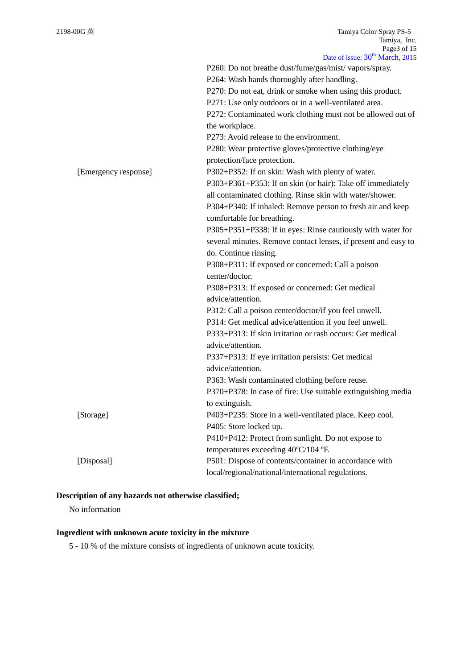|                      | P260: Do not breathe dust/fume/gas/mist/ vapors/spray.         |
|----------------------|----------------------------------------------------------------|
|                      | P264: Wash hands thoroughly after handling.                    |
|                      | P270: Do not eat, drink or smoke when using this product.      |
|                      | P271: Use only outdoors or in a well-ventilated area.          |
|                      | P272: Contaminated work clothing must not be allowed out of    |
|                      | the workplace.                                                 |
|                      | P273: Avoid release to the environment.                        |
|                      | P280: Wear protective gloves/protective clothing/eye           |
|                      | protection/face protection.                                    |
| [Emergency response] | P302+P352: If on skin: Wash with plenty of water.              |
|                      | P303+P361+P353: If on skin (or hair): Take off immediately     |
|                      | all contaminated clothing. Rinse skin with water/shower.       |
|                      | P304+P340: If inhaled: Remove person to fresh air and keep     |
|                      | comfortable for breathing.                                     |
|                      | P305+P351+P338: If in eyes: Rinse cautiously with water for    |
|                      | several minutes. Remove contact lenses, if present and easy to |
|                      | do. Continue rinsing.                                          |
|                      | P308+P311: If exposed or concerned: Call a poison              |
|                      | center/doctor.                                                 |
|                      | P308+P313: If exposed or concerned: Get medical                |
|                      | advice/attention.                                              |
|                      | P312: Call a poison center/doctor/if you feel unwell.          |
|                      | P314: Get medical advice/attention if you feel unwell.         |
|                      | P333+P313: If skin irritation or rash occurs: Get medical      |
|                      | advice/attention.                                              |
|                      | P337+P313: If eye irritation persists: Get medical             |
|                      | advice/attention.                                              |
|                      | P363: Wash contaminated clothing before reuse.                 |
|                      | P370+P378: In case of fire: Use suitable extinguishing media   |
|                      | to extinguish.                                                 |
| [Storage]            | P403+P235: Store in a well-ventilated place. Keep cool.        |
|                      | P405: Store locked up.                                         |
|                      | P410+P412: Protect from sunlight. Do not expose to             |
|                      | temperatures exceeding 40°C/104 °F.                            |
| [Disposal]           | P501: Dispose of contents/container in accordance with         |
|                      | local/regional/national/international regulations.             |

## **Description of any hazards not otherwise classified;**

No information

## **Ingredient with unknown acute toxicity in the mixture**

5 - 10 % of the mixture consists of ingredients of unknown acute toxicity.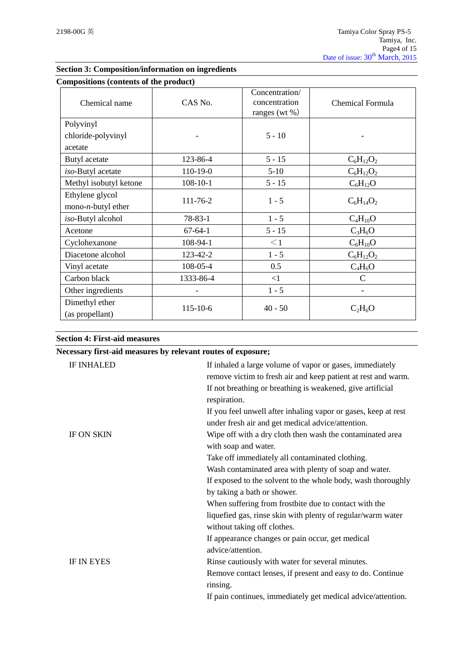| Compositions (contents of the product)         |                |                                                      |                              |
|------------------------------------------------|----------------|------------------------------------------------------|------------------------------|
| Chemical name                                  | CAS No.        | Concentration/<br>concentration<br>ranges (wt $\%$ ) | Chemical Formula             |
| Polyvinyl                                      |                |                                                      |                              |
| chloride-polyvinyl                             |                | $5 - 10$                                             |                              |
| acetate                                        |                |                                                      |                              |
| Butyl acetate                                  | 123-86-4       | $5 - 15$                                             | $C_6H_{12}O_2$               |
| iso-Butyl acetate                              | 110-19-0       | $5-10$                                               | $C_6H_{12}O_2$               |
| Methyl isobutyl ketone                         | $108 - 10 - 1$ | $5 - 15$                                             | $C_6H_{12}O$                 |
| Ethylene glycol<br>mono- <i>n</i> -butyl ether | 111-76-2       | $1 - 5$                                              | $C_6H_{14}O_2$               |
| iso-Butyl alcohol                              | $78 - 83 - 1$  | $1 - 5$                                              | $C_4H_{10}O$                 |
| Acetone                                        | $67-64-1$      | $5 - 15$                                             | $C_3H_6O$                    |
| Cyclohexanone                                  | 108-94-1       | $\leq$ 1                                             | $C_6H_{10}O$                 |
| Diacetone alcohol                              | 123-42-2       | $1 - 5$                                              | $C_6H_{12}O_2$               |
| Vinyl acetate                                  | 108-05-4       | 0.5                                                  | $C_4H_6O$                    |
| Carbon black                                   | 1333-86-4      | <1                                                   | $\mathsf{C}$                 |
| Other ingredients                              |                | $1 - 5$                                              | $\qquad \qquad \blacksquare$ |
| Dimethyl ether<br>(as propellant)              | 115-10-6       | $40 - 50$                                            | $C_2H_6O$                    |

## **Section 3: Composition/information on ingredients**

|  |  |  |  | <b>Section 4: First-aid measures</b> |
|--|--|--|--|--------------------------------------|
|--|--|--|--|--------------------------------------|

|                   | Necessary first-aid measures by relevant routes of exposure;                                                              |
|-------------------|---------------------------------------------------------------------------------------------------------------------------|
| <b>IF INHALED</b> | If inhaled a large volume of vapor or gases, immediately<br>remove victim to fresh air and keep patient at rest and warm. |
|                   | If not breathing or breathing is weakened, give artificial<br>respiration.                                                |
|                   | If you feel unwell after inhaling vapor or gases, keep at rest<br>under fresh air and get medical advice/attention.       |
| <b>IF ON SKIN</b> | Wipe off with a dry cloth then wash the contaminated area<br>with soap and water.                                         |
|                   | Take off immediately all contaminated clothing.                                                                           |
|                   | Wash contaminated area with plenty of soap and water.                                                                     |
|                   | If exposed to the solvent to the whole body, wash thoroughly                                                              |
|                   | by taking a bath or shower.                                                                                               |
|                   | When suffering from frostbite due to contact with the                                                                     |
|                   | liquefied gas, rinse skin with plenty of regular/warm water<br>without taking off clothes.                                |
|                   | If appearance changes or pain occur, get medical                                                                          |
|                   | advice/attention.                                                                                                         |
| <b>IF IN EYES</b> | Rinse cautiously with water for several minutes.                                                                          |
|                   | Remove contact lenses, if present and easy to do. Continue<br>rinsing.                                                    |
|                   | If pain continues, immediately get medical advice/attention.                                                              |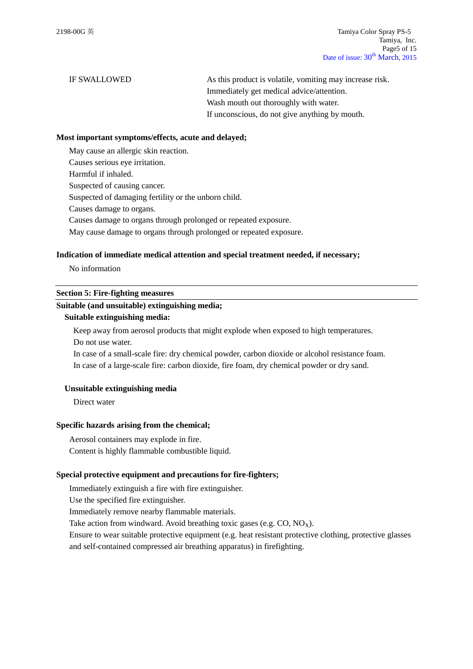IF SWALLOWED As this product is volatile, vomiting may increase risk. Immediately get medical advice/attention. Wash mouth out thoroughly with water. If unconscious, do not give anything by mouth.

#### **Most important symptoms/effects, acute and delayed;**

May cause an allergic skin reaction.

Causes serious eye irritation.

Harmful if inhaled.

Suspected of causing cancer.

Suspected of damaging fertility or the unborn child.

Causes damage to organs.

Causes damage to organs through prolonged or repeated exposure.

May cause damage to organs through prolonged or repeated exposure.

#### **Indication of immediate medical attention and special treatment needed, if necessary;**

No information

#### **Section 5: Fire-fighting measures**

#### **Suitable (and unsuitable) extinguishing media;**

#### **Suitable extinguishing media:**

Keep away from aerosol products that might explode when exposed to high temperatures. Do not use water.

In case of a small-scale fire: dry chemical powder, carbon dioxide or alcohol resistance foam. In case of a large-scale fire: carbon dioxide, fire foam, dry chemical powder or dry sand.

#### **Unsuitable extinguishing media**

Direct water

#### **Specific hazards arising from the chemical;**

Aerosol containers may explode in fire. Content is highly flammable combustible liquid.

#### **Special protective equipment and precautions for fire-fighters;**

Immediately extinguish a fire with fire extinguisher.

Use the specified fire extinguisher.

Immediately remove nearby flammable materials.

Take action from windward. Avoid breathing toxic gases (e.g.  $CO$ ,  $NO<sub>x</sub>$ ).

Ensure to wear suitable protective equipment (e.g. heat resistant protective clothing, protective glasses and self-contained compressed air breathing apparatus) in firefighting.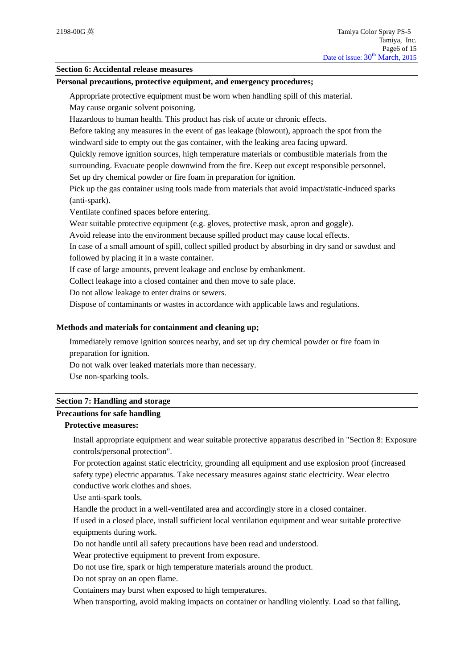#### **Section 6: Accidental release measures**

#### **Personal precautions, protective equipment, and emergency procedures;**

Appropriate protective equipment must be worn when handling spill of this material.

May cause organic solvent poisoning.

Hazardous to human health. This product has risk of acute or chronic effects.

Before taking any measures in the event of gas leakage (blowout), approach the spot from the windward side to empty out the gas container, with the leaking area facing upward.

Quickly remove ignition sources, high temperature materials or combustible materials from the surrounding. Evacuate people downwind from the fire. Keep out except responsible personnel.

Set up dry chemical powder or fire foam in preparation for ignition.

Pick up the gas container using tools made from materials that avoid impact/static-induced sparks (anti-spark).

Ventilate confined spaces before entering.

Wear suitable protective equipment (e.g. gloves, protective mask, apron and goggle).

Avoid release into the environment because spilled product may cause local effects.

In case of a small amount of spill, collect spilled product by absorbing in dry sand or sawdust and followed by placing it in a waste container.

If case of large amounts, prevent leakage and enclose by embankment.

Collect leakage into a closed container and then move to safe place.

Do not allow leakage to enter drains or sewers.

Dispose of contaminants or wastes in accordance with applicable laws and regulations.

#### **Methods and materials for containment and cleaning up;**

Immediately remove ignition sources nearby, and set up dry chemical powder or fire foam in preparation for ignition.

Do not walk over leaked materials more than necessary.

Use non-sparking tools.

#### **Section 7: Handling and storage**

#### **Precautions for safe handling**

## **Protective measures:**

Install appropriate equipment and wear suitable protective apparatus described in "Section 8: Exposure controls/personal protection".

For protection against static electricity, grounding all equipment and use explosion proof (increased safety type) electric apparatus. Take necessary measures against static electricity. Wear electro conductive work clothes and shoes.

Use anti-spark tools.

Handle the product in a well-ventilated area and accordingly store in a closed container.

If used in a closed place, install sufficient local ventilation equipment and wear suitable protective equipments during work.

Do not handle until all safety precautions have been read and understood.

Wear protective equipment to prevent from exposure.

Do not use fire, spark or high temperature materials around the product.

Do not spray on an open flame.

Containers may burst when exposed to high temperatures.

When transporting, avoid making impacts on container or handling violently. Load so that falling,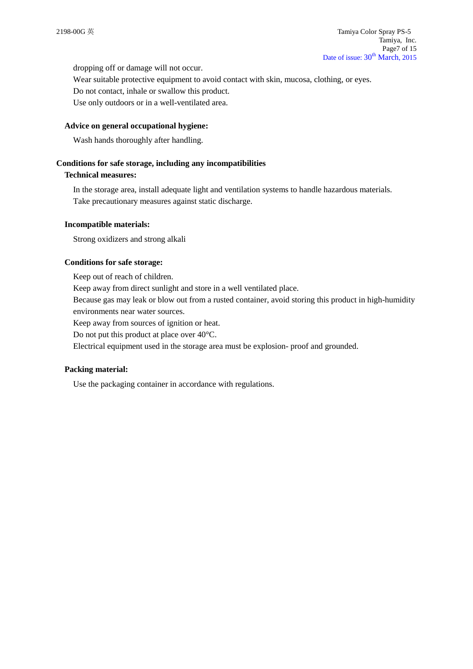dropping off or damage will not occur.

Wear suitable protective equipment to avoid contact with skin, mucosa, clothing, or eyes. Do not contact, inhale or swallow this product.

Use only outdoors or in a well-ventilated area.

#### **Advice on general occupational hygiene:**

Wash hands thoroughly after handling.

#### **Conditions for safe storage, including any incompatibilities**

#### **Technical measures:**

In the storage area, install adequate light and ventilation systems to handle hazardous materials. Take precautionary measures against static discharge.

#### **Incompatible materials:**

Strong oxidizers and strong alkali

### **Conditions for safe storage:**

Keep out of reach of children. Keep away from direct sunlight and store in a well ventilated place. Because gas may leak or blow out from a rusted container, avoid storing this product in high-humidity environments near water sources.

Keep away from sources of ignition or heat.

Do not put this product at place over 40°C.

Electrical equipment used in the storage area must be explosion- proof and grounded.

#### **Packing material:**

Use the packaging container in accordance with regulations.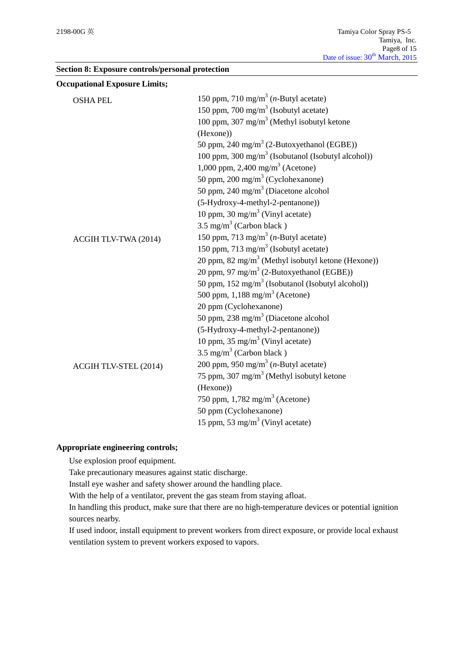|  |  | Section 8: Exposure controls/personal protection |  |
|--|--|--------------------------------------------------|--|
|--|--|--------------------------------------------------|--|

| <b>Occupational Exposure Limits;</b> |                                                                |
|--------------------------------------|----------------------------------------------------------------|
| <b>OSHA PEL</b>                      | 150 ppm, 710 mg/m <sup>3</sup> ( <i>n</i> -Butyl acetate)      |
|                                      | 150 ppm, 700 mg/m <sup>3</sup> (Isobutyl acetate)              |
|                                      | 100 ppm, 307 mg/m <sup>3</sup> (Methyl isobutyl ketone         |
|                                      | (Hexone))                                                      |
|                                      | 50 ppm, 240 mg/m <sup>3</sup> (2-Butoxyethanol (EGBE))         |
|                                      | 100 ppm, 300 mg/m <sup>3</sup> (Isobutanol (Isobutyl alcohol)) |
|                                      | 1,000 ppm, 2,400 mg/m <sup>3</sup> (Acetone)                   |
|                                      | 50 ppm, 200 mg/m <sup>3</sup> (Cyclohexanone)                  |
|                                      | 50 ppm, 240 mg/m <sup>3</sup> (Diacetone alcohol               |
|                                      | (5-Hydroxy-4-methyl-2-pentanone))                              |
|                                      | 10 ppm, 30 mg/m <sup>3</sup> (Vinyl acetate)                   |
|                                      | $3.5 \text{ mg/m}^3$ (Carbon black)                            |
| ACGIH TLV-TWA (2014)                 | 150 ppm, 713 mg/m <sup>3</sup> ( <i>n</i> -Butyl acetate)      |
|                                      | 150 ppm, 713 mg/m <sup>3</sup> (Isobutyl acetate)              |
|                                      | 20 ppm, 82 mg/m <sup>3</sup> (Methyl isobutyl ketone (Hexone)) |
|                                      | 20 ppm, 97 mg/m <sup>3</sup> (2-Butoxyethanol (EGBE))          |
|                                      | 50 ppm, 152 mg/m <sup>3</sup> (Isobutanol (Isobutyl alcohol))  |
|                                      | 500 ppm, $1,188$ mg/m <sup>3</sup> (Acetone)                   |
|                                      | 20 ppm (Cyclohexanone)                                         |
|                                      | 50 ppm, 238 mg/m <sup>3</sup> (Diacetone alcohol               |
|                                      | (5-Hydroxy-4-methyl-2-pentanone))                              |
|                                      | 10 ppm, 35 mg/m <sup>3</sup> (Vinyl acetate)                   |
|                                      | $3.5 \text{ mg/m}^3$ (Carbon black)                            |
| ACGIH TLV-STEL (2014)                | 200 ppm, 950 mg/m <sup>3</sup> ( <i>n</i> -Butyl acetate)      |
|                                      | 75 ppm, 307 mg/m <sup>3</sup> (Methyl isobutyl ketone          |
|                                      | (Hexone))                                                      |
|                                      | 750 ppm, 1,782 mg/m <sup>3</sup> (Acetone)                     |
|                                      | 50 ppm (Cyclohexanone)                                         |
|                                      | 15 ppm, 53 mg/m <sup>3</sup> (Vinyl acetate)                   |

## **Appropriate engineering controls;**

Use explosion proof equipment.

Take precautionary measures against static discharge.

Install eye washer and safety shower around the handling place.

With the help of a ventilator, prevent the gas steam from staying afloat.

In handling this product, make sure that there are no high-temperature devices or potential ignition sources nearby.

If used indoor, install equipment to prevent workers from direct exposure, or provide local exhaust ventilation system to prevent workers exposed to vapors.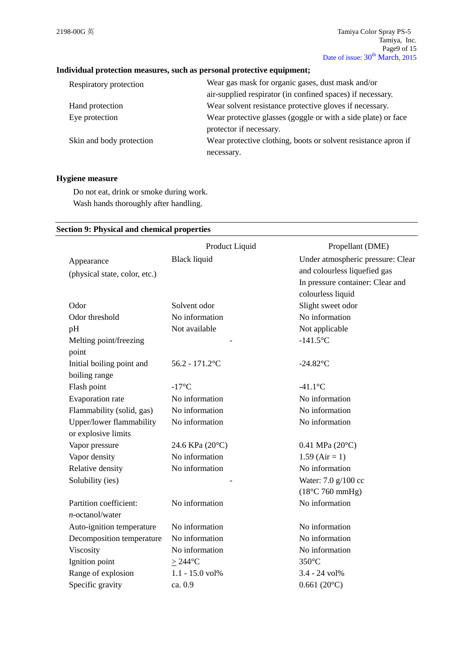## **Individual protection measures, such as personal protective equipment;**

| Respiratory protection   | Wear gas mask for organic gases, dust mask and/or              |
|--------------------------|----------------------------------------------------------------|
|                          | air-supplied respirator (in confined spaces) if necessary.     |
| Hand protection          | Wear solvent resistance protective gloves if necessary.        |
| Eye protection           | Wear protective glasses (goggle or with a side plate) or face  |
|                          | protector if necessary.                                        |
| Skin and body protection | Wear protective clothing, boots or solvent resistance apron if |
|                          | necessary.                                                     |

## **Hygiene measure**

Do not eat, drink or smoke during work. Wash hands thoroughly after handling.

#### **Section 9: Physical and chemical properties**

|                               | Product Liquid      | Propellant (DME)                  |
|-------------------------------|---------------------|-----------------------------------|
| Appearance                    | <b>Black liquid</b> | Under atmospheric pressure: Clear |
| (physical state, color, etc.) |                     | and colourless liquefied gas      |
|                               |                     | In pressure container: Clear and  |
|                               |                     | colourless liquid                 |
| Odor                          | Solvent odor        | Slight sweet odor                 |
| Odor threshold                | No information      | No information                    |
| pH                            | Not available       | Not applicable                    |
| Melting point/freezing        |                     | $-141.5$ °C                       |
| point                         |                     |                                   |
| Initial boiling point and     | $56.2 - 171.2$ °C   | $-24.82$ °C                       |
| boiling range                 |                     |                                   |
| Flash point                   | $-17^{\circ}$ C     | $-41.1$ °C                        |
| Evaporation rate              | No information      | No information                    |
| Flammability (solid, gas)     | No information      | No information                    |
| Upper/lower flammability      | No information      | No information                    |
| or explosive limits           |                     |                                   |
| Vapor pressure                | 24.6 KPa (20°C)     | 0.41 MPa $(20^{\circ}C)$          |
| Vapor density                 | No information      | $1.59$ (Air = 1)                  |
| Relative density              | No information      | No information                    |
| Solubility (ies)              |                     | Water: 7.0 g/100 cc               |
|                               |                     | $(18^{\circ}$ C 760 mmHg)         |
| Partition coefficient:        | No information      | No information                    |
| $n$ -octanol/water            |                     |                                   |
| Auto-ignition temperature     | No information      | No information                    |
| Decomposition temperature     | No information      | No information                    |
| Viscosity                     | No information      | No information                    |
| Ignition point                | $>244$ °C           | $350^{\circ}$ C                   |
| Range of explosion            | 1.1 - 15.0 vol%     | 3.4 - 24 vol%                     |
| Specific gravity              | ca. 0.9             | $0.661(20^{\circ}C)$              |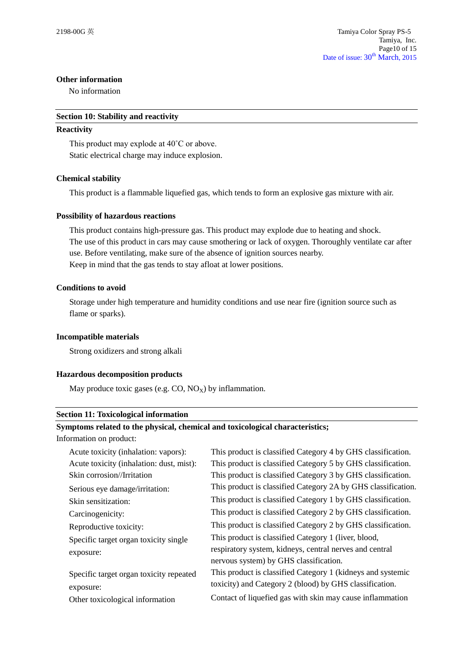#### **Other information**

No information

#### **Section 10: Stability and reactivity**

#### **Reactivity**

This product may explode at 40˚C or above. Static electrical charge may induce explosion.

### **Chemical stability**

This product is a flammable liquefied gas, which tends to form an explosive gas mixture with air.

### **Possibility of hazardous reactions**

This product contains high-pressure gas. This product may explode due to heating and shock. The use of this product in cars may cause smothering or lack of oxygen. Thoroughly ventilate car after use. Before ventilating, make sure of the absence of ignition sources nearby. Keep in mind that the gas tends to stay afloat at lower positions.

### **Conditions to avoid**

Storage under high temperature and humidity conditions and use near fire (ignition source such as flame or sparks).

#### **Incompatible materials**

Strong oxidizers and strong alkali

### **Hazardous decomposition products**

May produce toxic gases (e.g.  $CO$ ,  $NO<sub>x</sub>$ ) by inflammation.

#### **Section 11: Toxicological information**

#### **Symptoms related to the physical, chemical and toxicological characteristics;**

Information on product:

| Acute toxicity (inhalation: vapors):     | This product is classified Category 4 by GHS classification.  |
|------------------------------------------|---------------------------------------------------------------|
| Acute toxicity (inhalation: dust, mist): | This product is classified Category 5 by GHS classification.  |
| Skin corrosion//Irritation               | This product is classified Category 3 by GHS classification.  |
| Serious eye damage/irritation:           | This product is classified Category 2A by GHS classification. |
| Skin sensitization:                      | This product is classified Category 1 by GHS classification.  |
| Carcinogenicity:                         | This product is classified Category 2 by GHS classification.  |
| Reproductive toxicity:                   | This product is classified Category 2 by GHS classification.  |
| Specific target organ toxicity single    | This product is classified Category 1 (liver, blood,          |
| exposure:                                | respiratory system, kidneys, central nerves and central       |
|                                          | nervous system) by GHS classification.                        |
| Specific target organ toxicity repeated  | This product is classified Category 1 (kidneys and systemic   |
| exposure:                                | toxicity) and Category 2 (blood) by GHS classification.       |
| Other toxicological information          | Contact of liquefied gas with skin may cause inflammation     |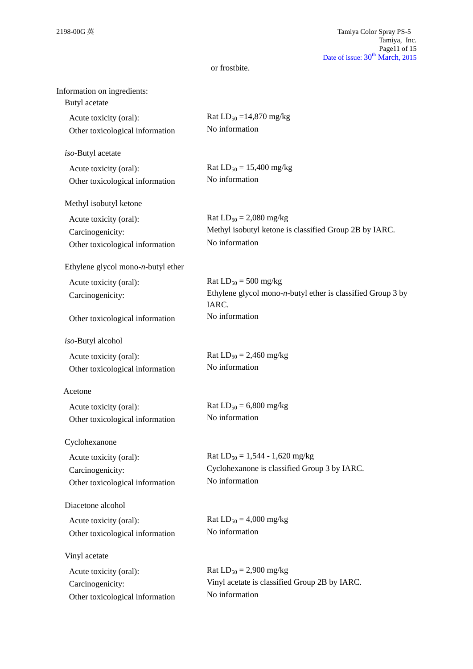| Information on ingredients:<br>Butyl acetate |                                                                                              |
|----------------------------------------------|----------------------------------------------------------------------------------------------|
| Acute toxicity (oral):                       | Rat $LD_{50} = 14,870$ mg/kg                                                                 |
| Other toxicological information              | No information                                                                               |
|                                              |                                                                                              |
| iso-Butyl acetate                            |                                                                                              |
| Acute toxicity (oral):                       | Rat $LD_{50} = 15,400$ mg/kg                                                                 |
| Other toxicological information              | No information                                                                               |
| Methyl isobutyl ketone                       |                                                                                              |
| Acute toxicity (oral):                       | Rat $LD_{50} = 2,080$ mg/kg                                                                  |
| Carcinogenicity:                             | Methyl isobutyl ketone is classified Group 2B by IARC.                                       |
| Other toxicological information              | No information                                                                               |
|                                              |                                                                                              |
| Ethylene glycol mono- $n$ -butyl ether       |                                                                                              |
| Acute toxicity (oral):                       | Rat $LD_{50} = 500$ mg/kg<br>Ethylene glycol mono- $n$ -butyl ether is classified Group 3 by |
| Carcinogenicity:                             | IARC.                                                                                        |
| Other toxicological information              | No information                                                                               |
| iso-Butyl alcohol                            |                                                                                              |
| Acute toxicity (oral):                       | Rat $LD_{50} = 2,460$ mg/kg                                                                  |
| Other toxicological information              | No information                                                                               |
|                                              |                                                                                              |
| Acetone                                      |                                                                                              |
| Acute toxicity (oral):                       | Rat $LD_{50} = 6,800$ mg/kg                                                                  |
| Other toxicological information              | No information                                                                               |
| Cyclohexanone                                |                                                                                              |
| Acute toxicity (oral):                       | Rat $LD_{50} = 1,544 - 1,620$ mg/kg                                                          |
| Carcinogenicity:                             | Cyclohexanone is classified Group 3 by IARC.                                                 |
| Other toxicological information              | No information                                                                               |
| Diacetone alcohol                            |                                                                                              |
| Acute toxicity (oral):                       | Rat $LD_{50} = 4,000$ mg/kg                                                                  |
| Other toxicological information              | No information                                                                               |
|                                              |                                                                                              |
| Vinyl acetate                                |                                                                                              |
| Acute toxicity (oral):                       | Rat $LD_{50} = 2,900$ mg/kg                                                                  |
| Carcinogenicity:                             | Vinyl acetate is classified Group 2B by IARC.<br>No information                              |
| Other toxicological information              |                                                                                              |
|                                              |                                                                                              |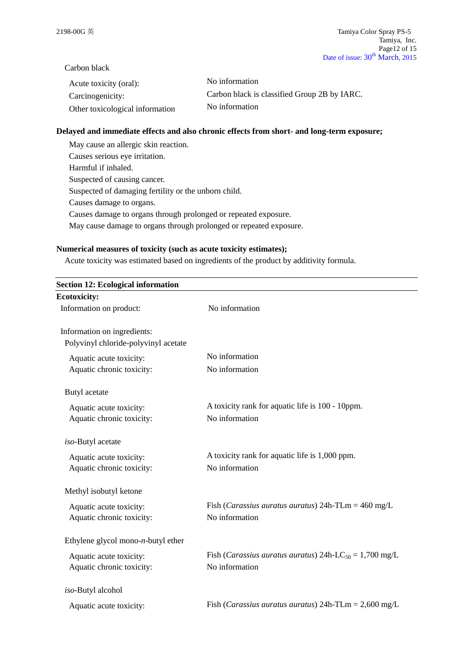Carbon black

| Acute toxicity (oral):          | No information                               |
|---------------------------------|----------------------------------------------|
| Carcinogenicity:                | Carbon black is classified Group 2B by IARC. |
| Other toxicological information | No information                               |

#### **Delayed and immediate effects and also chronic effects from short- and long-term exposure;**

May cause an allergic skin reaction. Causes serious eye irritation. Harmful if inhaled. Suspected of causing cancer. Suspected of damaging fertility or the unborn child. Causes damage to organs. Causes damage to organs through prolonged or repeated exposure. May cause damage to organs through prolonged or repeated exposure.

## **Numerical measures of toxicity (such as acute toxicity estimates);**

Acute toxicity was estimated based on ingredients of the product by additivity formula.

| <b>Section 12: Ecological information</b> |                                                                             |
|-------------------------------------------|-----------------------------------------------------------------------------|
| <b>Ecotoxicity:</b>                       |                                                                             |
| Information on product:                   | No information                                                              |
| Information on ingredients:               |                                                                             |
| Polyvinyl chloride-polyvinyl acetate      |                                                                             |
| Aquatic acute toxicity:                   | No information                                                              |
| Aquatic chronic toxicity:                 | No information                                                              |
| Butyl acetate                             |                                                                             |
| Aquatic acute toxicity:                   | A toxicity rank for aquatic life is 100 - 10ppm.                            |
| Aquatic chronic toxicity:                 | No information                                                              |
| iso-Butyl acetate                         |                                                                             |
| Aquatic acute toxicity:                   | A toxicity rank for aquatic life is 1,000 ppm.                              |
| Aquatic chronic toxicity:                 | No information                                                              |
| Methyl isobutyl ketone                    |                                                                             |
| Aquatic acute toxicity:                   | Fish (Carassius auratus auratus) $24h$ -TLm = $460$ mg/L                    |
| Aquatic chronic toxicity:                 | No information                                                              |
| Ethylene glycol mono- $n$ -butyl ether    |                                                                             |
| Aquatic acute toxicity:                   | Fish ( <i>Carassius auratus auratus</i> ) 24h-LC <sub>50</sub> = 1,700 mg/L |
| Aquatic chronic toxicity:                 | No information                                                              |
| iso-Butyl alcohol                         |                                                                             |
| Aquatic acute toxicity:                   | Fish ( <i>Carassius auratus auratus</i> ) $24h$ -TLm = $2,600$ mg/L         |
|                                           |                                                                             |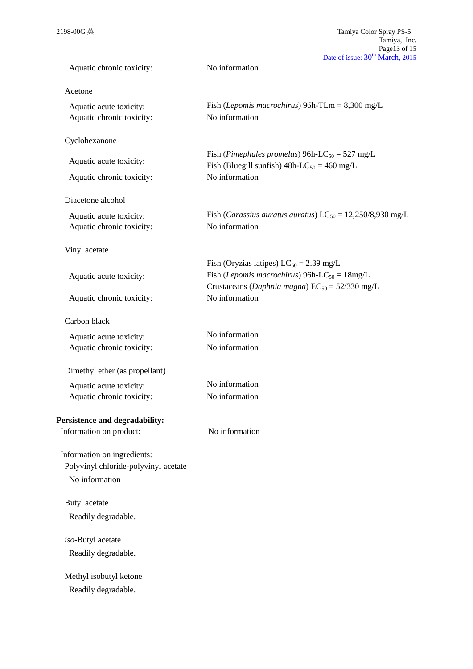| Aquatic chronic toxicity:            | No information                                                                                                           |
|--------------------------------------|--------------------------------------------------------------------------------------------------------------------------|
| Acetone                              |                                                                                                                          |
| Aquatic acute toxicity:              | Fish ( <i>Lepomis macrochirus</i> ) 96h-TLm = $8,300$ mg/L                                                               |
| Aquatic chronic toxicity:            | No information                                                                                                           |
| Cyclohexanone                        |                                                                                                                          |
| Aquatic acute toxicity:              | Fish (Pimephales promelas) 96h-LC <sub>50</sub> = 527 mg/L<br>Fish (Bluegill sunfish) $48h$ -LC <sub>50</sub> = 460 mg/L |
| Aquatic chronic toxicity:            | No information                                                                                                           |
| Diacetone alcohol                    |                                                                                                                          |
| Aquatic acute toxicity:              | Fish ( <i>Carassius auratus auratus</i> ) $LC_{50} = 12,250/8,930$ mg/L                                                  |
| Aquatic chronic toxicity:            | No information                                                                                                           |
| Vinyl acetate                        |                                                                                                                          |
|                                      | Fish (Oryzias latipes) $LC_{50} = 2.39$ mg/L                                                                             |
| Aquatic acute toxicity:              | Fish ( <i>Lepomis macrochirus</i> ) 96h-LC <sub>50</sub> = $18mg/L$                                                      |
|                                      | Crustaceans (Daphnia magna) $EC_{50} = 52/330$ mg/L                                                                      |
| Aquatic chronic toxicity:            | No information                                                                                                           |
| Carbon black                         |                                                                                                                          |
| Aquatic acute toxicity:              | No information                                                                                                           |
| Aquatic chronic toxicity:            | No information                                                                                                           |
| Dimethyl ether (as propellant)       |                                                                                                                          |
| Aquatic acute toxicity:              | No information                                                                                                           |
| Aquatic chronic toxicity:            | No information                                                                                                           |
| Persistence and degradability:       |                                                                                                                          |
| Information on product:              | No information                                                                                                           |
| Information on ingredients:          |                                                                                                                          |
| Polyvinyl chloride-polyvinyl acetate |                                                                                                                          |
| No information                       |                                                                                                                          |
| Butyl acetate                        |                                                                                                                          |
| Readily degradable.                  |                                                                                                                          |
| iso-Butyl acetate                    |                                                                                                                          |
| Readily degradable.                  |                                                                                                                          |
| Methyl isobutyl ketone               |                                                                                                                          |
| Readily degradable.                  |                                                                                                                          |
|                                      |                                                                                                                          |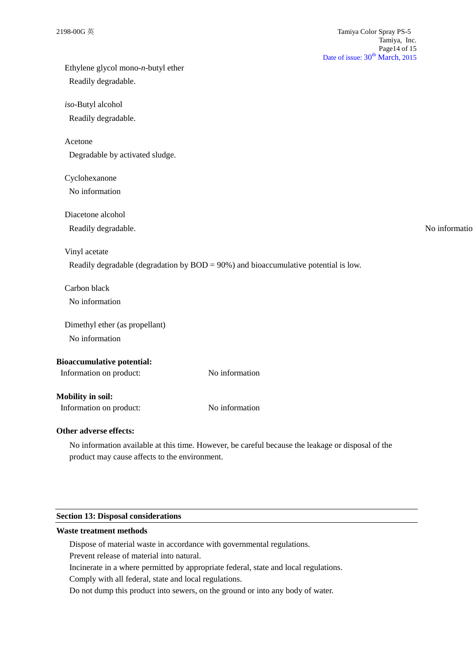| Ethylene glycol mono-n-butyl ether |                                                                                         |
|------------------------------------|-----------------------------------------------------------------------------------------|
| Readily degradable.                |                                                                                         |
| iso-Butyl alcohol                  |                                                                                         |
| Readily degradable.                |                                                                                         |
| Acetone                            |                                                                                         |
| Degradable by activated sludge.    |                                                                                         |
| Cyclohexanone                      |                                                                                         |
| No information                     |                                                                                         |
| Diacetone alcohol                  |                                                                                         |
| Readily degradable.                | No informatio                                                                           |
| Vinyl acetate                      |                                                                                         |
|                                    | Readily degradable (degradation by $BOD = 90\%$ ) and bioaccumulative potential is low. |
| Carbon black                       |                                                                                         |
| No information                     |                                                                                         |
| Dimethyl ether (as propellant)     |                                                                                         |
| No information                     |                                                                                         |
| <b>Bioaccumulative potential:</b>  |                                                                                         |
| Information on product:            | No information                                                                          |
| <b>Mobility in soil:</b>           |                                                                                         |
| Information on product:            | No information                                                                          |
| Other adverse effects:             |                                                                                         |

No information available at this time. However, be careful because the leakage or disposal of the product may cause affects to the environment.

## **Section 13: Disposal considerations**

### **Waste treatment methods**

Dispose of material waste in accordance with governmental regulations.

Prevent release of material into natural.

Incinerate in a where permitted by appropriate federal, state and local regulations.

Comply with all federal, state and local regulations.

Do not dump this product into sewers, on the ground or into any body of water.